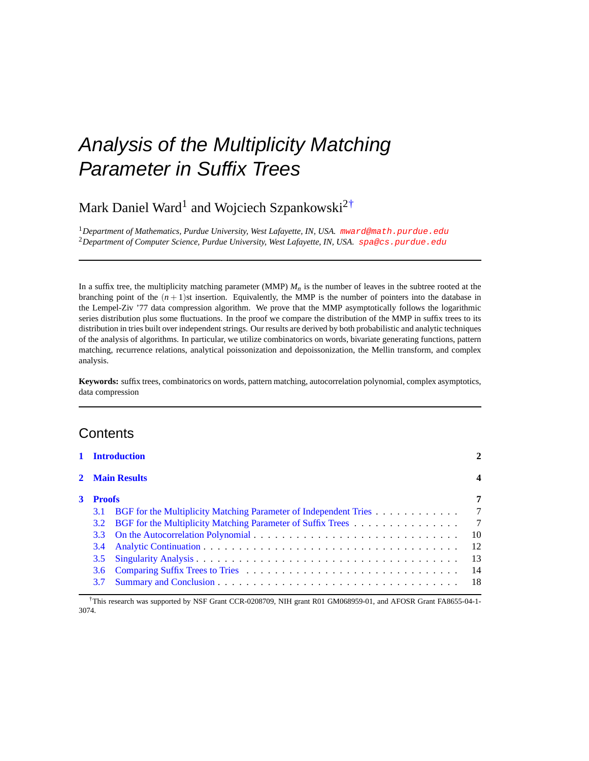# Analysis of the Multiplicity Matching Parameter in Suffix Trees

## Mark Daniel Ward<sup>1</sup> and Wojciech Szpankowski<sup>2†</sup>

<sup>1</sup>Department of Mathematics, Purdue University, West Lafayette, IN, USA. [mward@math.purdue.edu](mailto:mward@math.purdue.edu) <sup>2</sup>*Department of Computer Science, Purdue University, West Lafayette, IN, USA.* [spa@cs.purdue.edu](mailto:spa@cs.purdue.edu)

In a suffix tree, the multiplicity matching parameter (MMP)  $M<sub>n</sub>$  is the number of leaves in the subtree rooted at the branching point of the  $(n+1)$ st insertion. Equivalently, the MMP is the number of pointers into the database in the Lempel-Ziv '77 data compression algorithm. We prove that the MMP asymptotically follows the logarithmic series distribution plus some fluctuations. In the proof we compare the distribution of the MMP in suffix trees to its distribution in tries built over independent strings. Our results are derived by both probabilistic and analytic techniques of the analysis of algorithms. In particular, we utilize combinatorics on words, bivariate generating functions, pattern matching, recurrence relations, analytical poissonization and depoissonization, the Mellin transform, and complex analysis.

**Keywords:** suffix trees, combinatorics on words, pattern matching, autocorrelation polynomial, complex asymptotics, data compression

## **Contents**

|   | 1 Introduction<br>2 Main Results<br><b>Proofs</b> |                                                                         | 4              |
|---|---------------------------------------------------|-------------------------------------------------------------------------|----------------|
|   |                                                   |                                                                         |                |
| 3 |                                                   |                                                                         |                |
|   | 3.1                                               | <b>BGF</b> for the Multiplicity Matching Parameter of Independent Tries | 7              |
|   | 3.2                                               | BGF for the Multiplicity Matching Parameter of Suffix Trees             | $\overline{7}$ |
|   | $3.3^{\circ}$                                     |                                                                         | 10             |
|   | 3.4                                               |                                                                         | 12             |
|   | 3.5                                               |                                                                         | 13             |
|   | 3.6                                               |                                                                         | 14             |
|   | 3.7                                               |                                                                         | -18            |

†This research was supported by NSF Grant CCR-0208709, NIH grant R01 GM068959-01, and AFOSR Grant FA8655-04-1- 3074.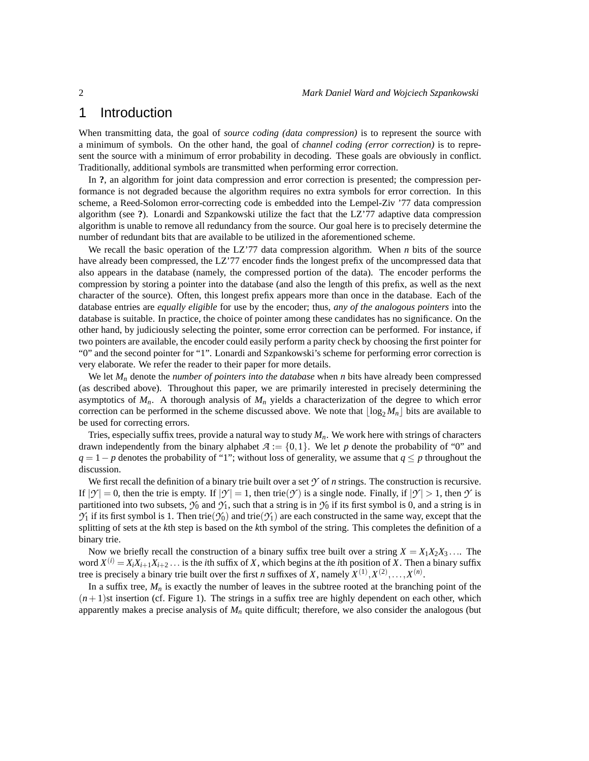## <span id="page-1-0"></span>1 Introduction

When transmitting data, the goal of *source coding (data compression)* is to represent the source with a minimum of symbols. On the other hand, the goal of *channel coding (error correction)* is to represent the source with a minimum of error probability in decoding. These goals are obviously in conflict. Traditionally, additional symbols are transmitted when performing error correction.

In **?**, an algorithm for joint data compression and error correction is presented; the compression performance is not degraded because the algorithm requires no extra symbols for error correction. In this scheme, a Reed-Solomon error-correcting code is embedded into the Lempel-Ziv '77 data compression algorithm (see **?**). Lonardi and Szpankowski utilize the fact that the LZ'77 adaptive data compression algorithm is unable to remove all redundancy from the source. Our goal here is to precisely determine the number of redundant bits that are available to be utilized in the aforementioned scheme.

We recall the basic operation of the LZ'77 data compression algorithm. When *n* bits of the source have already been compressed, the LZ'77 encoder finds the longest prefix of the uncompressed data that also appears in the database (namely, the compressed portion of the data). The encoder performs the compression by storing a pointer into the database (and also the length of this prefix, as well as the next character of the source). Often, this longest prefix appears more than once in the database. Each of the database entries are *equally eligible* for use by the encoder; thus, *any of the analogous pointers* into the database is suitable. In practice, the choice of pointer among these candidates has no significance. On the other hand, by judiciously selecting the pointer, some error correction can be performed. For instance, if two pointers are available, the encoder could easily perform a parity check by choosing the first pointer for "0" and the second pointer for "1". Lonardi and Szpankowski's scheme for performing error correction is very elaborate. We refer the reader to their paper for more details.

We let  $M_n$  denote the *number of pointers into the database* when *n* bits have already been compressed (as described above). Throughout this paper, we are primarily interested in precisely determining the asymptotics of  $M_n$ . A thorough analysis of  $M_n$  yields a characterization of the degree to which error correction can be performed in the scheme discussed above. We note that  $\lfloor \log_2 M_n \rfloor$  bits are available to be used for correcting errors.

Tries, especially suffix trees, provide a natural way to study  $M_n$ . We work here with strings of characters drawn independently from the binary alphabet  $A := \{0, 1\}$ . We let *p* denote the probability of "0" and  $q = 1 - p$  denotes the probability of "1"; without loss of generality, we assume that  $q \leq p$  throughout the discussion.

We first recall the definition of a binary trie built over a set  $\gamma$  of *n* strings. The construction is recursive. If  $|Y| = 0$ , then the trie is empty. If  $|Y| = 1$ , then trie(*Y*) is a single node. Finally, if  $|Y| > 1$ , then *Y* is partitioned into two subsets,  $\mathcal{Y}_0$  and  $\mathcal{Y}_1$ , such that a string is in  $\mathcal{Y}_0$  if its first symbol is 0, and a string is in  $\mathcal{Y}_1$  if its first symbol is 1. Then trie( $\mathcal{Y}_0$ ) and trie( $\mathcal{Y}_1$ ) are each constructed in the same way, except that the splitting of sets at the *k*th step is based on the *k*th symbol of the string. This completes the definition of a binary trie.

Now we briefly recall the construction of a binary suffix tree built over a string  $X = X_1 X_2 X_3 \dots$  The word  $X^{(i)} = X_i X_{i+1} X_{i+2} \dots$  is the *i*th suffix of *X*, which begins at the *i*th position of *X*. Then a binary suffix tree is precisely a binary trie built over the first *n* suffixes of *X*, namely  $X^{(1)}, X^{(2)}, \ldots, X^{(n)}$ .

In a suffix tree,  $M_n$  is exactly the number of leaves in the subtree rooted at the branching point of the  $(n+1)$ st insertion (cf. Figure 1). The strings in a suffix tree are highly dependent on each other, which apparently makes a precise analysis of  $M<sub>n</sub>$  quite difficult; therefore, we also consider the analogous (but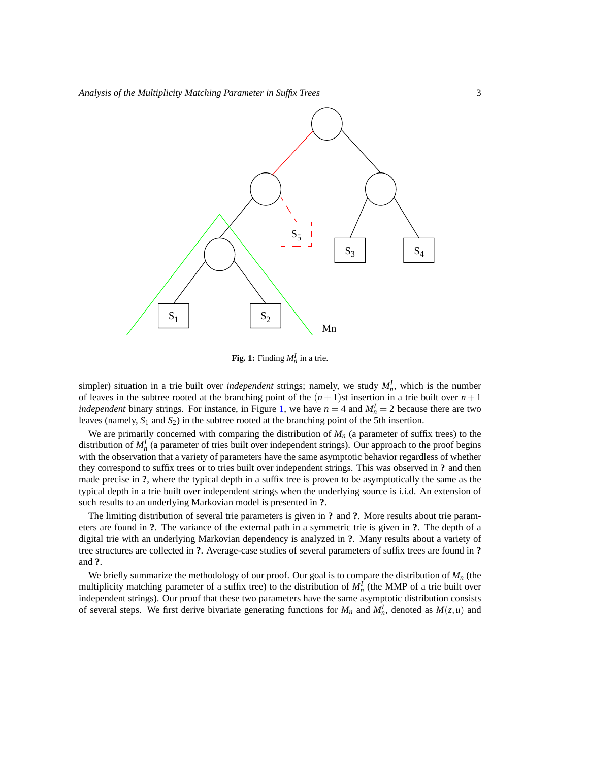

<span id="page-2-0"></span>**Fig. 1:** Finding  $M_n^I$  in a trie.

simpler) situation in a trie built over *independent* strings; namely, we study  $M<sub>n</sub><sup>I</sup>$ , which is the number of leaves in the subtree rooted at the branching point of the  $(n + 1)$ st insertion in a trie built over  $n + 1$ *independent* binary strings. For instance, in Figure [1,](#page-2-0) we have  $n = 4$  and  $M_n^I = 2$  because there are two leaves (namely, *S*<sup>1</sup> and *S*2) in the subtree rooted at the branching point of the 5th insertion.

We are primarily concerned with comparing the distribution of  $M<sub>n</sub>$  (a parameter of suffix trees) to the distribution of  $M_n^I$  (a parameter of tries built over independent strings). Our approach to the proof begins with the observation that a variety of parameters have the same asymptotic behavior regardless of whether they correspond to suffix trees or to tries built over independent strings. This was observed in **?** and then made precise in **?**, where the typical depth in a suffix tree is proven to be asymptotically the same as the typical depth in a trie built over independent strings when the underlying source is i.i.d. An extension of such results to an underlying Markovian model is presented in **?**.

The limiting distribution of several trie parameters is given in **?** and **?**. More results about trie parameters are found in **?**. The variance of the external path in a symmetric trie is given in **?**. The depth of a digital trie with an underlying Markovian dependency is analyzed in **?**. Many results about a variety of tree structures are collected in **?**. Average-case studies of several parameters of suffix trees are found in **?** and **?**.

We briefly summarize the methodology of our proof. Our goal is to compare the distribution of *M<sup>n</sup>* (the multiplicity matching parameter of a suffix tree) to the distribution of  $M_n^I$  (the MMP of a trie built over independent strings). Our proof that these two parameters have the same asymptotic distribution consists of several steps. We first derive bivariate generating functions for  $M_n$  and  $M_n^I$ , denoted as  $M(z, u)$  and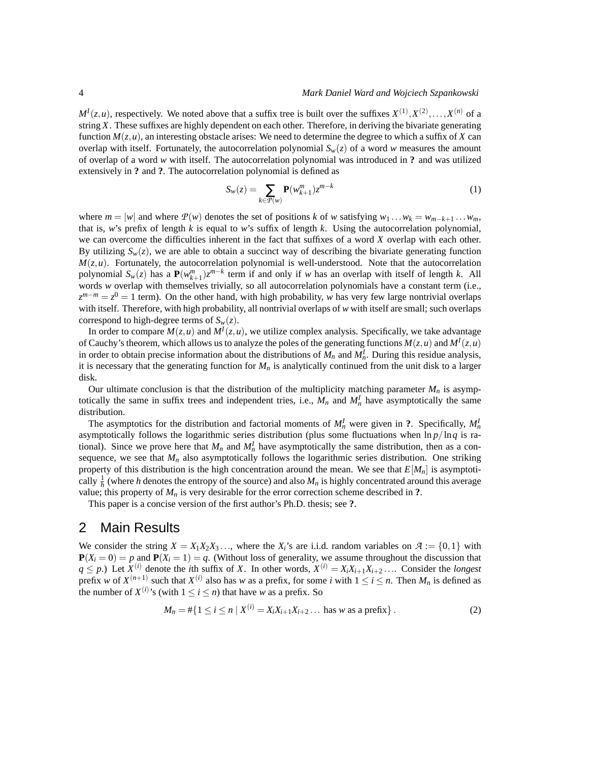$M^I(z, u)$ , respectively. We noted above that a suffix tree is built over the suffixes  $X^{(1)}, X^{(2)}, \ldots, X^{(n)}$  of a string *X*. These suffixes are highly dependent on each other. Therefore, in deriving the bivariate generating function  $M(z, u)$ , an interesting obstacle arises: We need to determine the degree to which a suffix of *X* can overlap with itself. Fortunately, the autocorrelation polynomial  $S_w(z)$  of a word *w* measures the amount of overlap of a word *w* with itself. The autocorrelation polynomial was introduced in **?** and was utilized extensively in **?** and **?**. The autocorrelation polynomial is defined as

<span id="page-3-2"></span>
$$
S_w(z) = \sum_{k \in \mathcal{P}(w)} \mathbf{P}(w_{k+1}^m) z^{m-k}
$$
 (1)

where  $m = |w|$  and where  $P(w)$  denotes the set of positions *k* of *w* satisfying  $w_1 \dots w_k = w_{m-k+1} \dots w_m$ , that is, *w*'s prefix of length *k* is equal to *w*'s suffix of length *k*. Using the autocorrelation polynomial, we can overcome the difficulties inherent in the fact that suffixes of a word *X* overlap with each other. By utilizing  $S_w(z)$ , we are able to obtain a succinct way of describing the bivariate generating function  $M(z, u)$ . Fortunately, the autocorrelation polynomial is well-understood. Note that the autocorrelation polynomial  $S_w(z)$  has a  $P(w_{k+1}^m)z^{m-k}$  term if and only if *w* has an overlap with itself of length *k*. All words *w* overlap with themselves trivially, so all autocorrelation polynomials have a constant term (i.e.,  $z^{m-m} = z^0 = 1$  term). On the other hand, with high probability, *w* has very few large nontrivial overlaps with itself. Therefore, with high probability, all nontrivial overlaps of *w* with itself are small; such overlaps correspond to high-degree terms of  $S_w(z)$ .

In order to compare  $M(z, u)$  and  $M<sup>I</sup>(z, u)$ , we utilize complex analysis. Specifically, we take advantage of Cauchy's theorem, which allows us to analyze the poles of the generating functions  $M(z, u)$  and  $M<sup>I</sup>(z, u)$ in order to obtain precise information about the distributions of  $M_n$  and  $M_n^I$ . During this residue analysis, it is necessary that the generating function for  $M<sub>n</sub>$  is analytically continued from the unit disk to a larger disk.

Our ultimate conclusion is that the distribution of the multiplicity matching parameter  $M_n$  is asymptotically the same in suffix trees and independent tries, i.e.,  $M_n$  and  $M_n^I$  have asymptotically the same distribution.

The asymptotics for the distribution and factorial moments of  $M_n^I$  were given in ?. Specifically,  $M_n^I$ asymptotically follows the logarithmic series distribution (plus some fluctuations when  $\ln p / \ln q$  is rational). Since we prove here that  $M_n$  and  $M_n^I$  have asymptotically the same distribution, then as a consequence, we see that  $M_n$  also asymptotically follows the logarithmic series distribution. One striking property of this distribution is the high concentration around the mean. We see that *E*[*Mn*] is asymptotically  $\frac{1}{h}$  (where *h* denotes the entropy of the source) and also  $M_n$  is highly concentrated around this average value; this property of *M<sup>n</sup>* is very desirable for the error correction scheme described in **?**.

This paper is a concise version of the first author's Ph.D. thesis; see **?**.

## <span id="page-3-0"></span>2 Main Results

We consider the string  $X = X_1 X_2 X_3 \dots$ , where the  $X_i$ 's are i.i.d. random variables on  $\mathcal{A} := \{0, 1\}$  with  $P(X_i = 0) = p$  and  $P(X_i = 1) = q$ . (Without loss of generality, we assume throughout the discussion that  $q \leq p$ .) Let  $X^{(i)}$  denote the *i*th suffix of *X*. In other words,  $X^{(i)} = X_i X_{i+1} X_{i+2} \dots$  Consider the *longest* prefix *w* of  $X^{(n+1)}$  such that  $X^{(i)}$  also has *w* as a prefix, for some *i* with  $1 \le i \le n$ . Then  $M_n$  is defined as the number of  $X^{(i)}$ 's (with  $1 \le i \le n$ ) that have *w* as a prefix. So

<span id="page-3-1"></span>
$$
M_n = #\{1 \le i \le n \mid X^{(i)} = X_i X_{i+1} X_{i+2} \dots \text{ has } w \text{ as a prefix}\}.
$$
 (2)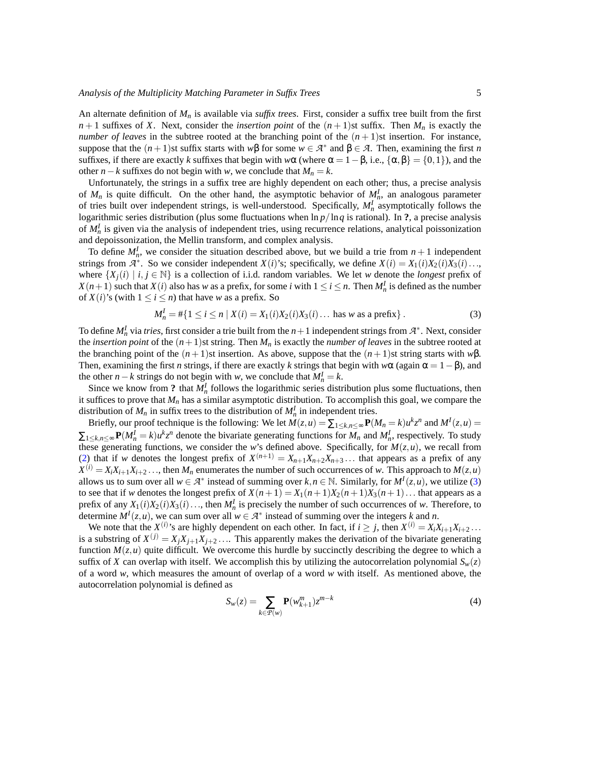An alternate definition of *M<sup>n</sup>* is available via *suffix trees*. First, consider a suffix tree built from the first  $n+1$  suffixes of *X*. Next, consider the *insertion point* of the  $(n+1)$ st suffix. Then  $M_n$  is exactly the *number of leaves* in the subtree rooted at the branching point of the  $(n+1)$ st insertion. For instance, suppose that the  $(n+1)$ st suffix starts with  $w\beta$  for some  $w \in \mathcal{A}^*$  and  $\beta \in \mathcal{A}$ . Then, examining the first *n* suffixes, if there are exactly *k* suffixes that begin with  $w\alpha$  (where  $\alpha = 1 - \beta$ , i.e.,  $\{\alpha, \beta\} = \{0, 1\}$ ), and the other *n*−*k* suffixes do not begin with *w*, we conclude that  $M_n = k$ .

Unfortunately, the strings in a suffix tree are highly dependent on each other; thus, a precise analysis of  $M_n$  is quite difficult. On the other hand, the asymptotic behavior of  $M_n^I$ , an analogous parameter of tries built over independent strings, is well-understood. Specifically, *M<sup>I</sup> n* asymptotically follows the logarithmic series distribution (plus some fluctuations when ln *p*/ln*q* is rational). In **?**, a precise analysis of  $M_n^I$  is given via the analysis of independent tries, using recurrence relations, analytical poissonization and depoissonization, the Mellin transform, and complex analysis.

To define  $M_h^I$ , we consider the situation described above, but we build a trie from  $n+1$  independent strings from  $\mathcal{A}^*$ . So we consider independent  $X(i)$ 's; specifically, we define  $X(i) = X_1(i)X_2(i)X_3(i) \dots$ where  $\{X_i(i) \mid i, j \in \mathbb{N}\}$  is a collection of i.i.d. random variables. We let *w* denote the *longest* prefix of *X*(*n*+1) such that *X*(*i*) also has *w* as a prefix, for some *i* with  $1 \le i \le n$ . Then  $M_n^I$  is defined as the number of  $X(i)$ 's (with  $1 \le i \le n$ ) that have *w* as a prefix. So

<span id="page-4-0"></span>
$$
M_n^I = #\{1 \le i \le n \mid X(i) = X_1(i)X_2(i)X_3(i) \dots \text{ has } w \text{ as a prefix}\}.
$$
 (3)

To define  $M_n^I$  via *tries*, first consider a trie built from the  $n+1$  independent strings from  $\mathcal{A}^*$ . Next, consider the *insertion point* of the  $(n+1)$ st string. Then  $M_n$  is exactly the *number of leaves* in the subtree rooted at the branching point of the  $(n+1)$ st insertion. As above, suppose that the  $(n+1)$ st string starts with *w*β. Then, examining the first *n* strings, if there are exactly *k* strings that begin with  $w\alpha$  (again  $\alpha = 1 - \beta$ ), and the other *n* − *k* strings do not begin with *w*, we conclude that  $M_n^I = k$ .

Since we know from ? that  $M^I_n$  follows the logarithmic series distribution plus some fluctuations, then it suffices to prove that  $M_n$  has a similar asymptotic distribution. To accomplish this goal, we compare the distribution of  $M_n$  in suffix trees to the distribution of  $M_n^I$  in independent tries.

Briefly, our proof technique is the following: We let  $M(z, u) = \sum_{1 \le k, n \le \infty} P(M_n = k) u^k z^n$  and  $M^I(z, u) =$  $\sum_{1 \le k,n \le \infty} P(M_n^I = k) u^k z^n$  denote the bivariate generating functions for  $M_n$  and  $M_n^I$ , respectively. To study these generating functions, we consider the *w*'s defined above. Specifically, for  $M(z, u)$ , we recall from [\(2\)](#page-3-1) that if *w* denotes the longest prefix of  $X^{(n+1)} = X_{n+1}X_{n+2}X_{n+3}...$  that appears as a prefix of any  $X^{(i)} = X_i X_{i+1} X_{i+2} \dots$ , then  $M_n$  enumerates the number of such occurrences of *w*. This approach to  $M(z, u)$ allows us to sum over all  $w \in \mathcal{A}^*$  instead of summing over  $k, n \in \mathbb{N}$ . Similarly, for  $M^I(z, u)$ , we utilize [\(3\)](#page-4-0) to see that if *w* denotes the longest prefix of  $X(n+1) = X_1(n+1)X_2(n+1)X_3(n+1)$ ... that appears as a prefix of any  $X_1(i)X_2(i)X_3(i) \ldots$ , then  $M_n^I$  is precisely the number of such occurrences of *w*. Therefore, to determine  $M^I(z, u)$ , we can sum over all  $w \in \mathcal{A}^*$  instead of summing over the integers *k* and *n*.

We note that the  $X^{(i)}$ 's are highly dependent on each other. In fact, if  $i \ge j$ , then  $X^{(i)} = X_i X_{i+1} X_{i+2} \dots$ is a substring of  $X^{(j)} = X_j X_{j+1} X_{j+2} \dots$  This apparently makes the derivation of the bivariate generating function  $M(z, u)$  quite difficult. We overcome this hurdle by succinctly describing the degree to which a suffix of *X* can overlap with itself. We accomplish this by utilizing the autocorrelation polynomial  $S_w(z)$ of a word *w*, which measures the amount of overlap of a word *w* with itself. As mentioned above, the autocorrelation polynomial is defined as

$$
S_w(z) = \sum_{k \in \mathcal{P}(w)} \mathbf{P}(w_{k+1}^m) z^{m-k}
$$
 (4)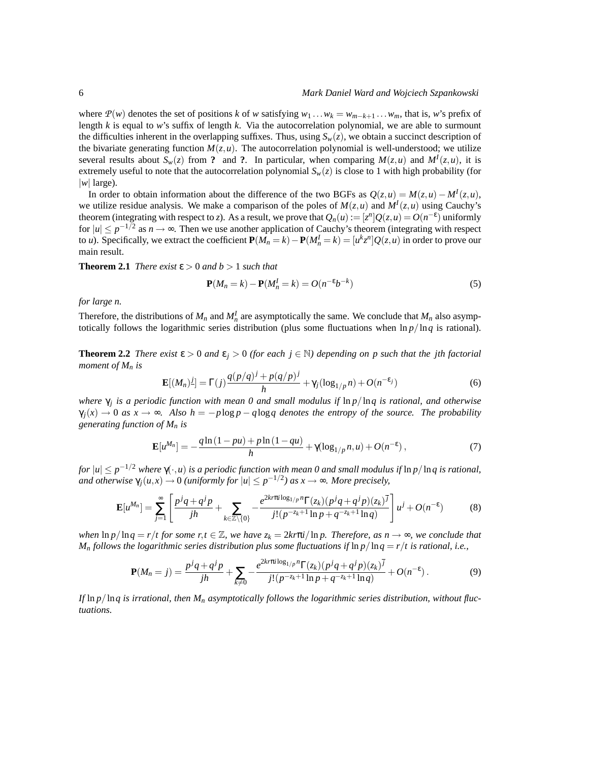where  $P(w)$  denotes the set of positions *k* of *w* satisfying  $w_1 \dots w_k = w_{m-k+1} \dots w_m$ , that is, *w*'s prefix of length *k* is equal to *w*'s suffix of length *k*. Via the autocorrelation polynomial, we are able to surmount the difficulties inherent in the overlapping suffixes. Thus, using  $S_w(z)$ , we obtain a succinct description of the bivariate generating function  $M(z, u)$ . The autocorrelation polynomial is well-understood; we utilize several results about  $S_w(z)$  from ? and ?. In particular, when comparing  $M(z, u)$  and  $M<sup>I</sup>(z, u)$ , it is extremely useful to note that the autocorrelation polynomial  $S_w(z)$  is close to 1 with high probability (for  $|w|$  large).

In order to obtain information about the difference of the two BGFs as  $Q(z, u) = M(z, u) - M<sup>I</sup>(z, u)$ , we utilize residue analysis. We make a comparison of the poles of  $M(z, u)$  and  $M<sup>I</sup>(z, u)$  using Cauchy's theorem (integrating with respect to *z*). As a result, we prove that  $Q_n(u) := [z^n]Q(z, u) = O(n^{-\epsilon})$  uniformly for  $|u| \le p^{-1/2}$  as  $n \to \infty$ . Then we use another application of Cauchy's theorem (integrating with respect to *u*). Specifically, we extract the coefficient  $P(M_n = k) - P(M_n^I = k) = [u^k z^n] Q(z, u)$  in order to prove our main result.

<span id="page-5-0"></span>**Theorem 2.1** *There exist*  $\varepsilon > 0$  *and*  $b > 1$  *such that* 

$$
\mathbf{P}(M_n = k) - \mathbf{P}(M_n^I = k) = O(n^{-\epsilon}b^{-k})
$$
\n(5)

*for large n.*

Therefore, the distributions of  $M_n$  and  $M_n^I$  are asymptotically the same. We conclude that  $M_n$  also asymptotically follows the logarithmic series distribution (plus some fluctuations when ln *p*/ln*q* is rational).

<span id="page-5-1"></span>**Theorem 2.2** *There exist*  $\epsilon > 0$  *and*  $\epsilon_i > 0$  *(for each j* ∈ N) *depending on p such that the jth factorial moment of M<sup>n</sup> is*

$$
\mathbf{E}[(M_n)^{\underline{j}}] = \Gamma(j)\frac{q(p/q)^j + p(q/p)^j}{h} + \gamma_j(\log_{1/p} n) + O(n^{-\epsilon_j})
$$
(6)

*where*  $γ$ <sub>*j*</sub> is a periodic function with mean 0 and small modulus if ln *p*/ln *q* is rational, and otherwise  $\gamma_i(x) \to 0$  *as*  $x \to \infty$ *. Also h* =  $-p \log p - q \log q$  *denotes the entropy of the source. The probability generating function of M<sup>n</sup> is*

$$
\mathbf{E}[u^{M_n}] = -\frac{q \ln(1 - pu) + p \ln(1 - qu)}{h} + \gamma(\log_{1/p} n, u) + O(n^{-\epsilon}), \tag{7}
$$

*for* |*u*| ≤ *p* <sup>−</sup>1/<sup>2</sup> *where* γ(·,*u*) *is a periodic function with mean 0 and small modulus if* ln *p*/ln*q is rational, and otherwise*  $\gamma_j(u, x) \to 0$  *(uniformly for*  $|u| \leq p^{-1/2}$ ) as  $x \to \infty$ *. More precisely,* 

$$
\mathbf{E}[u^{M_n}] = \sum_{j=1}^{\infty} \left[ \frac{p^j q + q^j p}{jh} + \sum_{k \in \mathbb{Z} \setminus \{0\}} - \frac{e^{2k \pi i \log_{1/p} n} \Gamma(z_k) (p^j q + q^j p)(z_k)^{\bar{j}}}{j! (p^{-z_k+1} \ln p + q^{-z_k+1} \ln q)} \right] u^j + O(n^{-\epsilon}) \tag{8}
$$

*when*  $\ln p / \ln q = r / t$  for some  $r, t \in \mathbb{Z}$ , we have  $z_k = 2k r \pi i / \ln p$ . Therefore, as  $n \to \infty$ , we conclude that *M*<sub>*n*</sub> follows the logarithmic series distribution plus some fluctuations if  $\ln p / \ln q = r / t$  is rational, i.e.,

$$
\mathbf{P}(M_n = j) = \frac{p^j q + q^j p}{jh} + \sum_{k \neq 0} -\frac{e^{2k\pi \pi i \log_{1/p} n} \Gamma(z_k) (p^j q + q^j p)(z_k)^{\overline{j}}}{j! (p^{-z_k+1} \ln p + q^{-z_k+1} \ln q)} + O(n^{-\epsilon}).
$$
\n(9)

*If* ln *p*/ln*q is irrational, then M<sup>n</sup> asymptotically follows the logarithmic series distribution, without fluctuations.*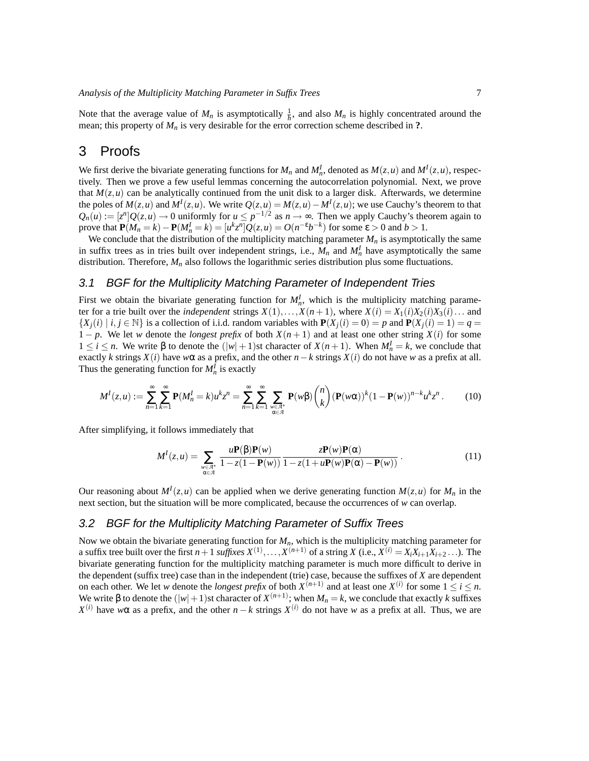Note that the average value of  $M_n$  is asymptotically  $\frac{1}{h}$ , and also  $M_n$  is highly concentrated around the mean; this property of *M<sup>n</sup>* is very desirable for the error correction scheme described in **?**.

## <span id="page-6-0"></span>3 Proofs

We first derive the bivariate generating functions for  $M_n$  and  $M_n^I$ , denoted as  $M(z, u)$  and  $M^I(z, u)$ , respectively. Then we prove a few useful lemmas concerning the autocorrelation polynomial. Next, we prove that  $M(z, u)$  can be analytically continued from the unit disk to a larger disk. Afterwards, we determine the poles of  $M(z, u)$  and  $M<sup>I</sup>(z, u)$ . We write  $Q(z, u) = M(z, u) - M<sup>I</sup>(z, u)$ ; we use Cauchy's theorem to that  $Q_n(u) := [z^n]Q(z, u) \to 0$  uniformly for  $u \le p^{-1/2}$  as  $n \to \infty$ . Then we apply Cauchy's theorem again to prove that  $\mathbf{P}(M_n = k) - \mathbf{P}(M_n^I = k) = [u^k z^n] Q(z, u) = O(n^{-\epsilon} b^{-k})$  for some  $\epsilon > 0$  and  $b > 1$ .

We conclude that the distribution of the multiplicity matching parameter  $M<sub>n</sub>$  is asymptotically the same in suffix trees as in tries built over independent strings, i.e.,  $M_n$  and  $M_n^I$  have asymptotically the same distribution. Therefore,  $M_n$  also follows the logarithmic series distribution plus some fluctuations.

#### <span id="page-6-1"></span>3.1 BGF for the Multiplicity Matching Parameter of Independent Tries

First we obtain the bivariate generating function for  $M<sub>n</sub><sup>I</sup>$ , which is the multiplicity matching parameter for a trie built over the *independent* strings  $X(1),...,X(n+1)$ , where  $X(i) = X_1(i)X_2(i)X_3(i)...$  and  $\{X_i(i) \mid i, j \in \mathbb{N}\}\$  is a collection of i.i.d. random variables with  $P(X_i(i) = 0) = p$  and  $P(X_i(i) = 1) = q = 1$  $1 - p$ . We let *w* denote the *longest prefix* of both  $X(n + 1)$  and at least one other string  $X(i)$  for some  $1 ≤ i ≤ n$ . We write β to denote the  $(|w| + 1)$ st character of  $X(n + 1)$ . When  $M_n^I = k$ , we conclude that exactly *k* strings  $X(i)$  have  $w\alpha$  as a prefix, and the other  $n-k$  strings  $X(i)$  do not have  $w$  as a prefix at all. Thus the generating function for  $M_n^I$  is exactly

$$
M^{I}(z,u) := \sum_{n=1}^{\infty} \sum_{k=1}^{\infty} \mathbf{P}(M_{n}^{I}=k)u^{k}z^{n} = \sum_{n=1}^{\infty} \sum_{\substack{w \in \mathcal{A}^{*} \\ \alpha \in \mathcal{A}}} \mathbf{P}(w\beta) \binom{n}{k} (\mathbf{P}(w\alpha))^{k} (1 - \mathbf{P}(w))^{n-k} u^{k}z^{n}.
$$
 (10)

After simplifying, it follows immediately that

<span id="page-6-3"></span>
$$
M^{I}(z,u) = \sum_{\substack{w \in \mathcal{A}^{*} \\ \alpha \in \mathcal{A}}} \frac{u\mathbf{P}(\beta)\mathbf{P}(w)}{1 - z(1 - \mathbf{P}(w))} \frac{z\mathbf{P}(w)\mathbf{P}(\alpha)}{1 - z(1 + u\mathbf{P}(w)\mathbf{P}(\alpha) - \mathbf{P}(w))}.
$$
(11)

Our reasoning about  $M^{I}(z, u)$  can be applied when we derive generating function  $M(z, u)$  for  $M_{n}$  in the next section, but the situation will be more complicated, because the occurrences of *w* can overlap.

#### <span id="page-6-2"></span>3.2 BGF for the Multiplicity Matching Parameter of Suffix Trees

Now we obtain the bivariate generating function for *Mn*, which is the multiplicity matching parameter for a suffix tree built over the first  $n+1$  *suffixes*  $X^{(1)}, \ldots, X^{(n+1)}$  of a string *X* (i.e.,  $X^{(i)} = X_i X_{i+1} X_{i+2} \ldots$ ). The bivariate generating function for the multiplicity matching parameter is much more difficult to derive in the dependent (suffix tree) case than in the independent (trie) case, because the suffixes of *X* are dependent on each other. We let *w* denote the *longest prefix* of both  $X^{(n+1)}$  and at least one  $X^{(i)}$  for some  $1 \le i \le n$ . We write β to denote the  $(|w|+1)$ st character of  $X^{(n+1)}$ ; when  $M_n = k$ , we conclude that exactly  $k$  suffixes *X*<sup>(*i*)</sup> have *w*α as a prefix, and the other *n* − *k* strings *X*<sup>(*i*)</sup> do not have *w* as a prefix at all. Thus, we are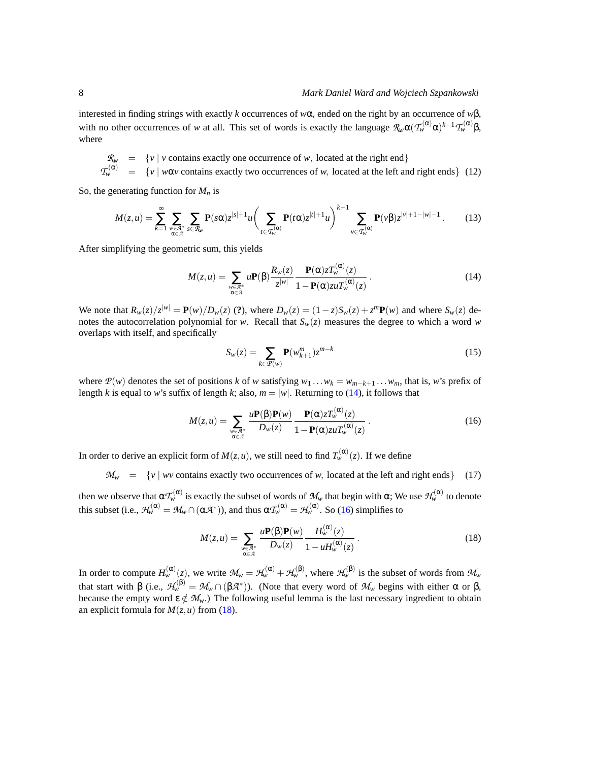interested in finding strings with exactly *k* occurrences of *w*α, ended on the right by an occurrence of *w*β, with no other occurrences of *w* at all. This set of words is exactly the language  $\mathcal{R}_{w} \alpha(\mathcal{T}_{w}^{(\alpha)} \alpha)^{k-1} \mathcal{T}_{w}^{(\alpha)} \beta$ , where

<span id="page-7-3"></span> $\mathcal{R}_w$  = {*v* | *v* contains exactly one occurrence of *w*, located at the right end}  $T_w^{(\alpha)} = \{v \mid w\alpha v \text{ contains exactly two occurrences of } w, \text{ located at the left and right ends}\}$  (12)

So, the generating function for  $M_n$  is

$$
M(z,u)=\sum_{k=1}^{\infty}\sum_{\substack{w\in\mathcal{A}^*\\ \alpha\in\mathcal{A}}} \sum_{s\in\mathcal{R}_w} \mathbf{P}(s\alpha)z^{|s|+1}u\bigg(\sum_{t\in\mathcal{T}_w^{(\alpha)}} \mathbf{P}(t\alpha)z^{|t|+1}u\bigg)^{k-1}\sum_{v\in\mathcal{T}_w^{(\alpha)}} \mathbf{P}(v\beta)z^{|v|+1-|w|-1}.
$$
 (13)

After simplifying the geometric sum, this yields

<span id="page-7-0"></span>
$$
M(z, u) = \sum_{\substack{w \in \mathcal{A}^* \\ \alpha \in \mathcal{A}}} u \mathbf{P}(\beta) \frac{R_w(z)}{z^{|w|}} \frac{\mathbf{P}(\alpha) z T_w^{(\alpha)}(z)}{1 - \mathbf{P}(\alpha) z u T_w^{(\alpha)}(z)}.
$$
(14)

We note that  $R_w(z)/z^{|w|} = \mathbf{P}(w)/D_w(z)$  (?), where  $D_w(z) = (1-z)S_w(z) + z^m \mathbf{P}(w)$  and where  $S_w(z)$  denotes the autocorrelation polynomial for *w*. Recall that  $S_w(z)$  measures the degree to which a word *w* overlaps with itself, and specifically

$$
S_w(z) = \sum_{k \in \mathcal{P}(w)} \mathbf{P}(w_{k+1}^m) z^{m-k}
$$
\n(15)

where  $P(w)$  denotes the set of positions *k* of *w* satisfying  $w_1 \dots w_k = w_{m-k+1} \dots w_m$ , that is, *w*'s prefix of length *k* is equal to *w*'s suffix of length *k*; also,  $m = |w|$ . Returning to [\(14\)](#page-7-0), it follows that

<span id="page-7-1"></span>
$$
M(z, u) = \sum_{\substack{w \in \mathcal{A}^* \\ \alpha \in \mathcal{A}}} \frac{u \mathbf{P}(\beta) \mathbf{P}(w)}{D_w(z)} \frac{\mathbf{P}(\alpha) z T_w^{(\alpha)}(z)}{1 - \mathbf{P}(\alpha) z u T_w^{(\alpha)}(z)}.
$$
(16)

In order to derive an explicit form of  $M(z, u)$ , we still need to find  $T_w^{(\alpha)}(z)$ . If we define

<span id="page-7-4"></span> $M_w$  = {*v* | *wv* contains exactly two occurrences of *w*, located at the left and right ends} (17)

then we observe that  $\alpha \mathcal{T}_{w}^{(\alpha)}$  is exactly the subset of words of  $M_w$  that begin with  $\alpha$ ; We use  $\mathcal{H}_{w}^{(\alpha)}$  to denote this subset (i.e.,  $\mathcal{H}_{w}^{(\alpha)} = \mathcal{M}_{w} \cap (\alpha \mathcal{A}^{*})$ ), and thus  $\alpha \mathcal{I}_{w}^{(\alpha)} = \mathcal{H}_{w}^{(\alpha)}$ . So [\(16\)](#page-7-1) simplifies to

<span id="page-7-2"></span>
$$
M(z, u) = \sum_{\substack{w \in \mathcal{A}^* \\ \alpha \in \mathcal{A}}} \frac{u \mathbf{P}(\beta) \mathbf{P}(w)}{D_w(z)} \frac{H_w^{(\alpha)}(z)}{1 - u H_w^{(\alpha)}(z)}.
$$
(18)

In order to compute  $H_w^{(\alpha)}(z)$ , we write  $\mathcal{M}_w = \mathcal{H}_w^{(\alpha)} + \mathcal{H}_w^{(\beta)}$ , where  $\mathcal{H}_w^{(\beta)}$  is the subset of words from  $\mathcal{M}_w$ that start with  $\beta$  (i.e.,  $\mathcal{H}_{w}^{(\beta)} = \mathcal{M}_{w} \cap (\beta \mathcal{A}^{*})$ ). (Note that every word of  $\mathcal{M}_{w}$  begins with either  $\alpha$  or  $\beta$ , because the empty word  $\varepsilon \notin M_w$ .) The following useful lemma is the last necessary ingredient to obtain an explicit formula for  $M(z, u)$  from [\(18\)](#page-7-2).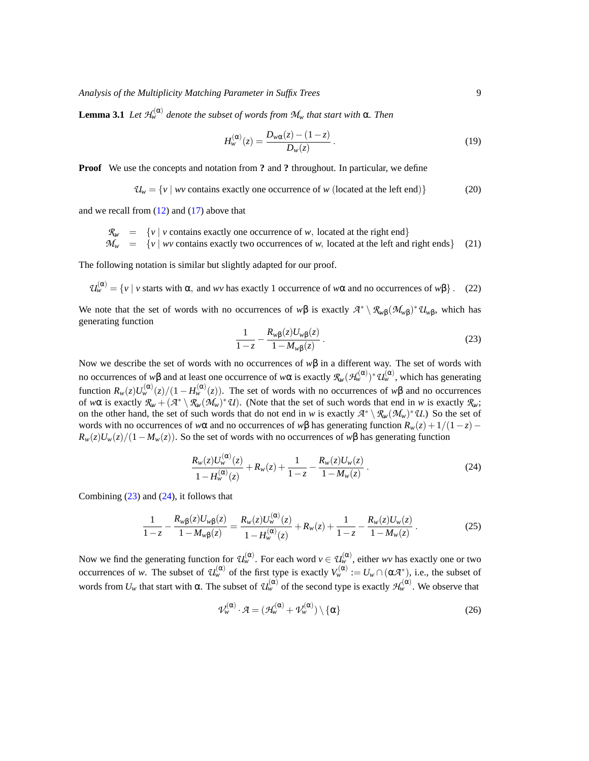**Lemma 3.1** *Let*  $\mathcal{H}_{w}^{(\alpha)}$  *denote the subset of words from*  $\mathcal{M}_{w}$  *that start with*  $\alpha$ *. Then* 

$$
H_{w}^{(\alpha)}(z) = \frac{D_{w\alpha}(z) - (1 - z)}{D_{w}(z)}.
$$
\n(19)

**Proof** We use the concepts and notation from **?** and **?** throughout. In particular, we define

$$
\mathcal{U}_w = \{v \mid wv \text{ contains exactly one occurrence of } w \text{ (located at the left end)}\}\tag{20}
$$

and we recall from  $(12)$  and  $(17)$  above that

$$
\mathcal{R}_w = \{v \mid v \text{ contains exactly one occurrence of } w, \text{ located at the right end} \}
$$
\n
$$
\mathcal{M}_w = \{v \mid wv \text{ contains exactly two occurrences of } w, \text{ located at the left and right ends} \}
$$
\n(21)

The following notation is similar but slightly adapted for our proof.

 $\mathcal{U}_{w}^{(\alpha)} = \{v \mid v \text{ starts with } \alpha, \text{ and } wv \text{ has exactly 1 occurrence of } w\alpha \text{ and no occurrences of } w\beta\}.$  (22)

We note that the set of words with no occurrences of  $w\beta$  is exactly  $\mathcal{A}^* \setminus \mathcal{R}_{w\beta}(\mathcal{M}_{w\beta})^* \mathcal{U}_{w\beta}$ , which has generating function

<span id="page-8-0"></span>
$$
\frac{1}{1-z} - \frac{R_{w\beta}(z)U_{w\beta}(z)}{1-M_{w\beta}(z)}.
$$
\n(23)

Now we describe the set of words with no occurrences of *w*β in a different way. The set of words with no occurrences of *w*β and at least one occurrence of *w*α is exactly  $\mathcal{R}_w(\mathcal{H}_w^{(\alpha)})^*\mathcal{U}_w^{(\alpha)}$ , which has generating function  $R_w(z)U_w^{(\alpha)}(z)/(1-H_w^{(\alpha)}(z))$ . The set of words with no occurrences of  $w\beta$  and no occurrences of  $w\alpha$  is exactly  $\mathcal{R}_w + (\mathcal{A}^* \setminus \mathcal{R}_w(\mathcal{M}_w)^* \mathcal{U})$ . (Note that the set of such words that end in *w* is exactly  $\mathcal{R}_w$ ; on the other hand, the set of such words that do not end in *w* is exactly  $\mathcal{A}^* \setminus \mathcal{R}_{w}(\mathcal{M}_w)^* \mathcal{U}$ .) So the set of words with no occurrences of *w* $\alpha$  and no occurrences of *w* $\beta$  has generating function  $R_w(z) + 1/(1-z)$  $R_w(z)U_w(z)/(1-M_w(z))$ . So the set of words with no occurrences of  $w\beta$  has generating function

<span id="page-8-1"></span>
$$
\frac{R_w(z)U_w^{(\alpha)}(z)}{1-H_w^{(\alpha)}(z)} + R_w(z) + \frac{1}{1-z} - \frac{R_w(z)U_w(z)}{1-M_w(z)}.
$$
\n(24)

Combining  $(23)$  and  $(24)$ , it follows that

<span id="page-8-2"></span>
$$
\frac{1}{1-z} - \frac{R_{w\beta}(z)U_{w\beta}(z)}{1-M_{w\beta}(z)} = \frac{R_w(z)U_w^{(\alpha)}(z)}{1-H_w^{(\alpha)}(z)} + R_w(z) + \frac{1}{1-z} - \frac{R_w(z)U_w(z)}{1-M_w(z)}.
$$
(25)

Now we find the generating function for  $\mathcal{U}_{w}^{(\alpha)}$ . For each word  $v \in \mathcal{U}_{w}^{(\alpha)}$ , either *wv* has exactly one or two occurrences of *w*. The subset of  $\mathcal{U}_{w}^{(\alpha)}$  of the first type is exactly  $V_{w}^{(\alpha)} := U_{w} \cap (\alpha \mathcal{A}^{*})$ , i.e., the subset of words from  $U_w$  that start with  $\alpha$ . The subset of  $\mathcal{U}^{(\alpha)}_w$  of the second type is exactly  $\mathcal{H}^{(\alpha)}_w$ . We observe that

$$
\mathcal{V}_{w}^{(\alpha)} \cdot \mathcal{A} = (\mathcal{H}_{w}^{(\alpha)} + \mathcal{V}_{w}^{(\alpha)}) \setminus \{\alpha\}
$$
 (26)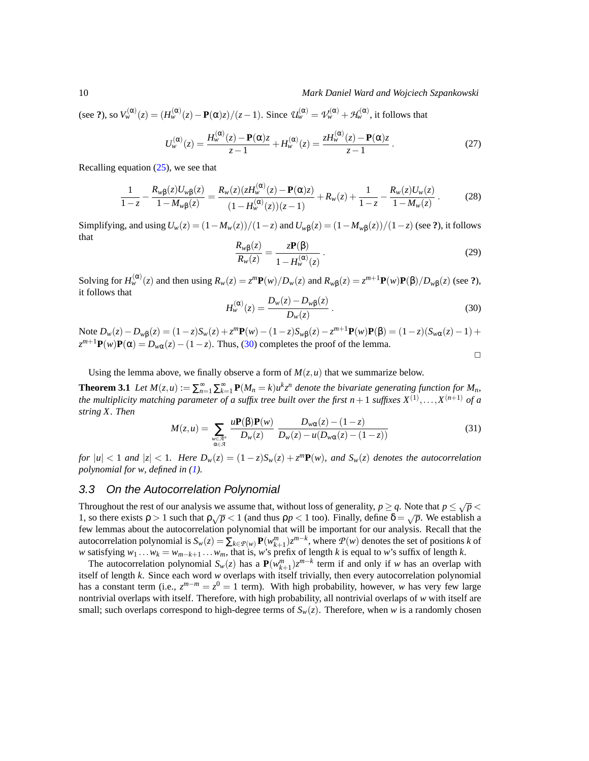(see ?), so  $V_w^{(\alpha)}(z) = (H_w^{(\alpha)}(z) - P(\alpha)z)/(z-1)$ . Since  $\mathcal{U}_w^{(\alpha)} = \mathcal{V}_w^{(\alpha)} + \mathcal{H}_w^{(\alpha)}$ , it follows that

$$
U_{w}^{(\alpha)}(z) = \frac{H_{w}^{(\alpha)}(z) - \mathbf{P}(\alpha)z}{z - 1} + H_{w}^{(\alpha)}(z) = \frac{zH_{w}^{(\alpha)}(z) - \mathbf{P}(\alpha)z}{z - 1}.
$$
 (27)

Recalling equation  $(25)$ , we see that

$$
\frac{1}{1-z} - \frac{R_w \beta(z) U_w \beta(z)}{1 - M_w \beta(z)} = \frac{R_w(z) (z H_w^{(\alpha)}(z) - \mathbf{P}(\alpha) z)}{(1 - H_w^{(\alpha)}(z))(z - 1)} + R_w(z) + \frac{1}{1 - z} - \frac{R_w(z) U_w(z)}{1 - M_w(z)}.
$$
(28)

Simplifying, and using  $U_w(z) = (1 - M_w(z))/(1 - z)$  and  $U_{w\beta}(z) = (1 - M_w(z))/(1 - z)$  (see ?), it follows that

$$
\frac{R_{w\beta}(z)}{R_w(z)} = \frac{z\mathbf{P}(\beta)}{1 - H_w^{(\alpha)}(z)}\,. \tag{29}
$$

Solving for  $H_w^{(\alpha)}(z)$  and then using  $R_w(z) = z^m \mathbf{P}(w)/D_w(z)$  and  $R_{w\beta}(z) = z^{m+1} \mathbf{P}(w)\mathbf{P}(\beta)/D_w(\beta)$  (see ?), it follows that

<span id="page-9-1"></span>
$$
H_{w}^{(\alpha)}(z) = \frac{D_{w}(z) - D_{w\beta}(z)}{D_{w}(z)}.
$$
\n(30)

Note  $D_w(z) - D_{w\beta}(z) = (1 - z)S_w(z) + z^m \mathbf{P}(w) - (1 - z)S_{w\beta}(z) - z^{m+1} \mathbf{P}(w)\mathbf{P}(\beta) = (1 - z)(S_{w\alpha}(z) - 1) +$  $z^{m+1}$ **P**(*w*)**P**( $\alpha$ ) = *D*<sub>*w* $\alpha$ </sub>(*z*) – (1 – *z*). Thus, [\(30\)](#page-9-1) completes the proof of the lemma.  $\Box$ 

Using the lemma above, we finally observe a form of  $M(z, u)$  that we summarize below.

**Theorem 3.1** Let  $M(z, u) := \sum_{n=1}^{\infty} \sum_{k=1}^{\infty} P(M_n = k) u^k z^n$  denote the bivariate generating function for  $M_n$ , the multiplicity matching parameter of a suffix tree built over the first  $n+1$  suffixes  $X^{(1)},\ldots,X^{(n+1)}$  of a *string X. Then*

<span id="page-9-2"></span>
$$
M(z, u) = \sum_{\substack{w \in \mathcal{A}^* \\ \alpha \in \mathcal{A}}} \frac{u \mathbf{P}(\beta) \mathbf{P}(w)}{D_w(z)} \frac{D_{w\alpha}(z) - (1 - z)}{D_w(z) - u(D_{w\alpha}(z) - (1 - z))}
$$
(31)

for  $|u| < 1$  and  $|z| < 1$ . Here  $D_w(z) = (1-z)S_w(z) + z^m P(w)$ , and  $S_w(z)$  denotes the autocorrelation *polynomial for w, defined in [\(1\)](#page-3-2).*

#### <span id="page-9-0"></span>3.3 On the Autocorrelation Polynomial

Throughout the rest of our analysis we assume that, without loss of generality,  $p \geq q$ . Note that  $p \leq \sqrt{p}$ 1, so there exists  $\rho > 1$  such that  $\rho\sqrt{p} < 1$  (and thus  $\rho p < 1$  too). Finally, define  $\delta = \sqrt{p}$ . We establish a few lemmas about the autocorrelation polynomial that will be important for our analysis. Recall that the autocorrelation polynomial is  $S_w(z) = \sum_{k \in P(w)} \mathbf{P}(w_{k+1}^m) z^{m-k}$ , where  $P(w)$  denotes the set of positions *k* of *w* satisfying  $w_1 \ldots w_k = w_{m-k+1} \ldots w_m$ , that is, *w*'s prefix of length *k* is equal to *w*'s suffix of length *k*.

The autocorrelation polynomial  $S_w(z)$  has a  $P(w_{k+1}^m)z^{m-k}$  term if and only if *w* has an overlap with itself of length *k*. Since each word *w* overlaps with itself trivially, then every autocorrelation polynomial has a constant term (i.e.,  $z^{m-m} = z^0 = 1$  term). With high probability, however, *w* has very few large nontrivial overlaps with itself. Therefore, with high probability, all nontrivial overlaps of *w* with itself are small; such overlaps correspond to high-degree terms of  $S_w(z)$ . Therefore, when *w* is a randomly chosen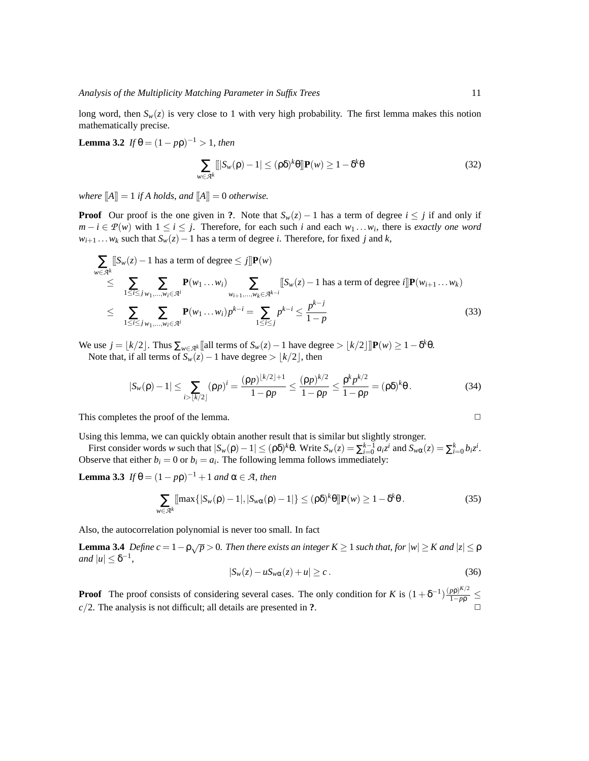long word, then  $S_w(z)$  is very close to 1 with very high probability. The first lemma makes this notion mathematically precise.

**Lemma 3.2** *If*  $\theta = (1 - p\rho)^{-1} > 1$ *, then* 

$$
\sum_{w \in \mathcal{A}^k} [|S_w(\rho) - 1| \le (\rho \delta)^k \theta] \mathbf{P}(w) \ge 1 - \delta^k \theta \tag{32}
$$

*where*  $\llbracket A \rrbracket = 1$  *if A holds, and*  $\llbracket A \rrbracket = 0$  *otherwise.* 

**Proof** Our proof is the one given in ?. Note that  $S_w(z) - 1$  has a term of degree  $i \leq j$  if and only if *m* − *i* ∈  $P(w)$  with 1 ≤ *i* ≤ *j*. Therefore, for each such *i* and each  $w_1 \dots w_i$ , there is *exactly one word*  $w_{i+1}$ ...*w<sub>k</sub>* such that  $S_w(z) - 1$  has a term of degree *i*. Therefore, for fixed *j* and *k*,

$$
\sum_{w \in \mathcal{A}^k} [S_w(z) - 1 \text{ has a term of degree} \le j] \mathbf{P}(w)
$$
\n
$$
\le \sum_{1 \le i \le j} \sum_{w_1, \dots, w_i \in \mathcal{A}^i} \mathbf{P}(w_1 \dots w_i) \sum_{w_{i+1}, \dots, w_k \in \mathcal{A}^{k-i}} [S_w(z) - 1 \text{ has a term of degree } i] \mathbf{P}(w_{i+1} \dots w_k)
$$
\n
$$
\le \sum_{1 \le i \le j} \sum_{w_1, \dots, w_i \in \mathcal{A}^i} \mathbf{P}(w_1 \dots w_i) p^{k-i} = \sum_{1 \le i \le j} p^{k-i} \le \frac{p^{k-j}}{1-p}
$$
\n(33)

We use  $j = \lfloor k/2 \rfloor$ . Thus  $\sum_{w \in A^k} [\text{all terms of } S_w(z) - 1$  have degree  $> \lfloor k/2 \rfloor]$   $\mathbf{P}(w) \ge 1 - \delta^k \theta$ . Note that, if all terms of  $S_w(z) - 1$  have degree >  $|k/2|$ , then

$$
|S_w(\rho) - 1| \le \sum_{i > \lfloor k/2 \rfloor} (\rho p)^i = \frac{(\rho p)^{\lfloor k/2 \rfloor + 1}}{1 - \rho p} \le \frac{(\rho p)^{k/2}}{1 - \rho p} \le \frac{\rho^k p^{k/2}}{1 - \rho p} = (\rho \delta)^k \theta.
$$
 (34)

This completes the proof of the lemma.  $\Box$ 

Using this lemma, we can quickly obtain another result that is similar but slightly stronger.

First consider words w such that  $|S_w(\rho) - 1| \leq (\rho \delta)^k \theta$ . Write  $S_w(z) = \sum_{i=0}^{k-1} a_i z^i$  and  $S_{w\alpha}(z) = \sum_{i=0}^{k} b_i z^i$ . Observe that either  $b_i = 0$  or  $b_i = a_i$ . The following lemma follows immediately:

**Lemma 3.3** *If*  $\theta = (1 - p\rho)^{-1} + 1$  *and*  $\alpha \in \mathcal{A}$ *, then* 

$$
\sum_{w \in \mathcal{A}^k} [\max\{|S_w(\rho) - 1|, |S_{w\alpha}(\rho) - 1|\} \le (\rho \delta)^k \theta] \mathbf{P}(w) \ge 1 - \delta^k \theta. \tag{35}
$$

Also, the autocorrelation polynomial is never too small. In fact

**Lemma 3.4** *Define c* = 1 −  $\rho\sqrt{p}$  > 0. Then there exists an integer K ≥ 1 such that, for  $|w|$  ≥ K and  $|z|$  ≤  $\rho$  $|u| \leq \delta^{-1}$ ,

<span id="page-10-1"></span><span id="page-10-0"></span>
$$
|S_w(z) - u S_{w\alpha}(z) + u| \ge c. \tag{36}
$$

**Proof** The proof consists of considering several cases. The only condition for *K* is  $(1 + \delta^{-1}) \frac{(p\rho)^{K/2}}{1 - p\rho} \le$  $c/2$ . The analysis is not difficult; all details are presented in  $?$ .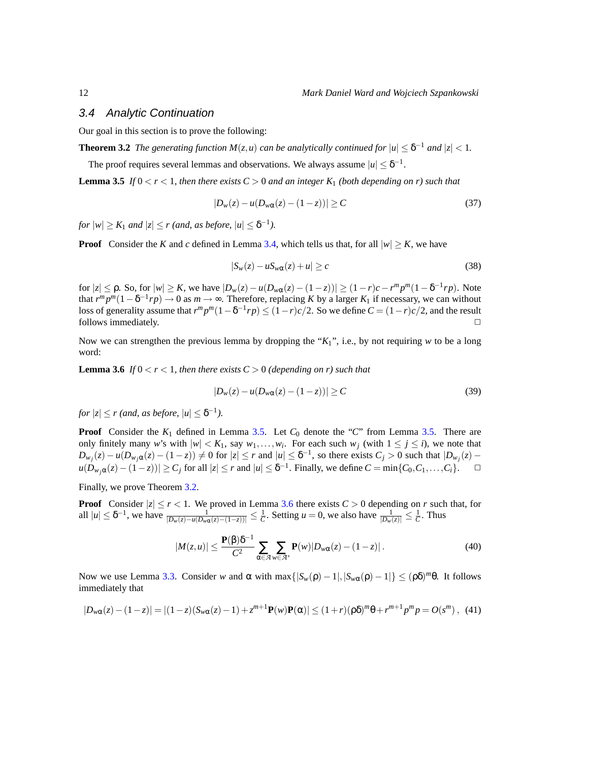#### <span id="page-11-0"></span>3.4 Analytic Continuation

Our goal in this section is to prove the following:

**Theorem 3.2** *The generating function*  $M(z, u)$  *can be analytically continued for*  $|u| \leq \delta^{-1}$  *and*  $|z| < 1$ *.* 

The proof requires several lemmas and observations. We always assume  $|u| \leq \delta^{-1}$ .

**Lemma 3.5** *If*  $0 < r < 1$ *, then there exists*  $C > 0$  *and an integer K*<sub>1</sub> *(both depending on r) such that* 

<span id="page-11-2"></span><span id="page-11-1"></span>
$$
|D_w(z) - u(D_{w\alpha}(z) - (1 - z))| \ge C
$$
\n(37)

*for*  $|w| \geq K_1$  *and*  $|z| \leq r$  *(and, as before,*  $|u| \leq \delta^{-1}$ *).* 

**Proof** Consider the *K* and *c* defined in Lemma [3.4,](#page-10-0) which tells us that, for all  $|w| > K$ , we have

$$
|S_w(z) - u S_{w\alpha}(z) + u| \ge c \tag{38}
$$

for  $|z|$  ≤ ρ. So, for  $|w|$  ≥ K, we have  $|D_w(z) - u(D_{wα}(z) - (1 - z))|$  ≥  $(1 - r)c - r^m p^m (1 - \delta^{-1} rp)$ . Note that  $r^m p^m (1 - \delta^{-1} r p) \to 0$  as  $m \to \infty$ . Therefore, replacing *K* by a larger  $K_1$  if necessary, we can without loss of generality assume that  $r^m p^m (1 - \delta^{-1} r p) \le (1 - r) c/2$ . So we define  $C = (1 - r) c/2$ , and the result follows immediately.  $\Box$ 

<span id="page-11-3"></span>Now we can strengthen the previous lemma by dropping the "*K*1", i.e., by not requiring *w* to be a long word:

**Lemma 3.6** *If*  $0 < r < 1$ *, then there exists*  $C > 0$  *(depending on r) such that* 

$$
|D_w(z) - u(D_{w\alpha}(z) - (1 - z))| \ge C
$$
\n(39)

*for*  $|z| \le r$  (and, as before,  $|u| \le \delta^{-1}$ ).

**Proof** Consider the  $K_1$  defined in Lemma [3.5.](#page-11-1) Let  $C_0$  denote the "*C*" from Lemma 3.5. There are only finitely many *w*'s with  $|w| < K_1$ , say  $w_1, \ldots, w_i$ . For each such  $w_j$  (with  $1 \le j \le i$ ), we note that  $D_{w_j}(z) - u(D_{w_j\alpha}(z) - (1-z)) \neq 0$  for  $|z| \leq r$  and  $|u| \leq \delta^{-1}$ , so there exists  $C_j > 0$  such that  $|D_{w_j}(z) - D_{w_j}(z)|$  $|u(D_{w_j\alpha}(z) - (1-z))| \ge C_j$  for all  $|z| \le r$  and  $|u| \le \delta^{-1}$ . Finally, we define  $C = \min\{C_0, C_1, \ldots, C_i\}$ .  $\Box$ 

Finally, we prove Theorem [3.2.](#page-11-2)

**Proof** Consider  $|z| \le r < 1$ . We proved in Lemma [3.6](#page-11-3) there exists  $C > 0$  depending on *r* such that, for all  $|u| \leq \delta^{-1}$ , we have  $\frac{1}{|D_w(z) - u(D_w \alpha(z) - (1-z))|} \leq \frac{1}{C}$ . Setting  $u = 0$ , we also have  $\frac{1}{|D_w(z)|} \leq \frac{1}{C}$ . Thus

$$
|M(z,u)| \leq \frac{\mathbf{P}(\beta)\delta^{-1}}{C^2} \sum_{\alpha \in \mathcal{A}} \sum_{w \in \mathcal{A}^*} \mathbf{P}(w) |D_{w\alpha}(z) - (1-z)|. \tag{40}
$$

Now we use Lemma [3.3.](#page-10-1) Consider *w* and α with max $\{|S_{w}(ρ) - 1|, |S_{wα}(ρ) - 1|\}$  ≤  $(ρδ)<sup>m</sup>θ$ . It follows immediately that

$$
|D_{w\alpha}(z) - (1 - z)| = |(1 - z)(S_{w\alpha}(z) - 1) + z^{m+1} \mathbf{P}(w)\mathbf{P}(\alpha)| \le (1 + r)(\rho \delta)^m \theta + r^{m+1} p^m p = O(s^m), \tag{41}
$$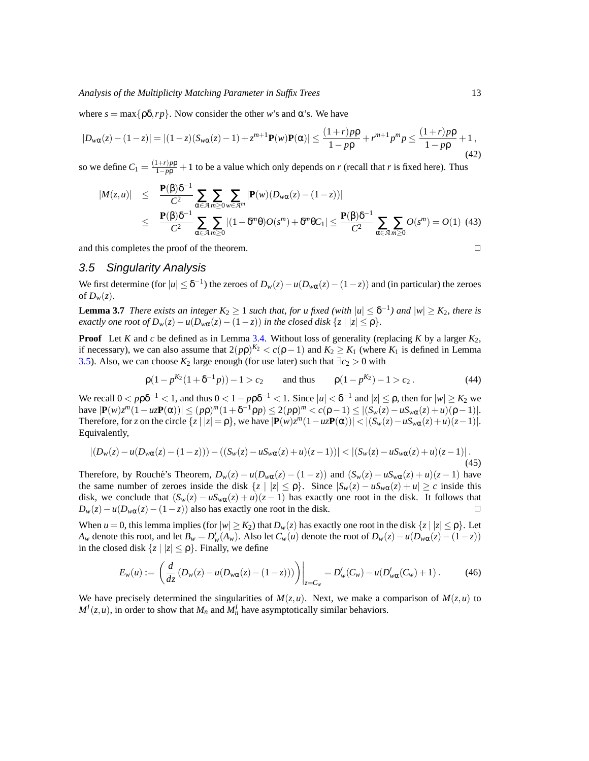where  $s = \max\{\rho \delta, r\rho\}$ . Now consider the other *w*'s and  $\alpha$ 's. We have

$$
|D_{w\alpha}(z) - (1-z)| = |(1-z)(S_{w\alpha}(z) - 1) + z^{m+1} \mathbf{P}(w)\mathbf{P}(\alpha)| \le \frac{(1+r)p\rho}{1-p\rho} + r^{m+1}p^m p \le \frac{(1+r)p\rho}{1-p\rho} + 1,
$$
\n(42)

so we define  $C_1 = \frac{(1+r)p\rho}{1-p\rho} + 1$  to be a value which only depends on *r* (recall that *r* is fixed here). Thus

$$
|M(z,u)| \leq \frac{\mathbf{P}(\beta)\delta^{-1}}{C^2} \sum_{\alpha \in \mathcal{A}} \sum_{m \geq 0} \sum_{w \in \mathcal{A}^m} |\mathbf{P}(w)(D_{w\alpha}(z) - (1-z))|
$$
  
 
$$
\leq \frac{\mathbf{P}(\beta)\delta^{-1}}{C^2} \sum_{\alpha \in \mathcal{A}} \sum_{m \geq 0} |(1 - \delta^m \theta)O(s^m) + \delta^m \theta C_1| \leq \frac{\mathbf{P}(\beta)\delta^{-1}}{C^2} \sum_{\alpha \in \mathcal{A}} \sum_{m \geq 0} O(s^m) = O(1) \tag{43}
$$

and this completes the proof of the theorem.  $\Box$ 

#### <span id="page-12-0"></span>3.5 Singularity Analysis

<span id="page-12-1"></span>We first determine (for  $|u| \leq \delta^{-1}$ ) the zeroes of  $D_w(z) - u(D_{w\alpha}(z) - (1-z))$  and (in particular) the zeroes of  $D_w(z)$ .

**Lemma 3.7** *There exists an integer*  $K_2 \geq 1$  *such that, for u fixed (with*  $|u| \leq \delta^{-1}$ ) *and*  $|w| \geq K_2$ *, there is exactly one root of*  $D_w(z) - u(D_{w\alpha}(z) - (1 - z))$  *in the closed disk*  $\{z \mid |z| \le \rho\}$ *.* 

**Proof** Let *K* and *c* be defined as in Lemma [3.4.](#page-10-0) Without loss of generality (replacing *K* by a larger *K*2, if necessary), we can also assume that  $2(p\rho)^{K_2} < c(\rho - 1)$  and  $K_2 \ge K_1$  (where  $K_1$  is defined in Lemma [3.5\)](#page-11-1). Also, we can choose  $K_2$  large enough (for use later) such that  $\exists c_2 > 0$  with

<span id="page-12-2"></span>
$$
\rho(1 - p^{K_2}(1 + \delta^{-1}p)) - 1 > c_2
$$
 and thus  $\rho(1 - p^{K_2}) - 1 > c_2$ . (44)

We recall  $0 < p \rho \delta^{-1} < 1$ , and thus  $0 < 1 - p \rho \delta^{-1} < 1$ . Since  $|u| < \delta^{-1}$  and  $|z| \le \rho$ , then for  $|w| \ge K_2$  we **have**  $|{\bf P}(w)z^m(1 - uz{\bf P}(\alpha))|$  ≤  $(p\rho)^m(1 + \delta^{-1}\rho p)$  ≤ 2 $(p\rho)^m < c(p-1)$  ≤  $|(S_w(z) - uS_w\alpha(z) + u)(\rho - 1)|$ . Therefore, for *z* on the circle  $\{z \mid |z| = \rho\}$ , we have  $|\mathbf{P}(w)z^m(1 - uz\mathbf{P}(\alpha))| < |(S_w(z) - uS_w(\alpha z) + u)(z-1)|$ . Equivalently,

$$
|(D_w(z) - u(D_{w\alpha}(z) - (1 - z))) - ((S_w(z) - uS_{w\alpha}(z) + u)(z - 1))| < |(S_w(z) - uS_{w\alpha}(z) + u)(z - 1)|.
$$
\n(45)

Therefore, by Rouché's Theorem,  $D_w(z) - u(D_{w\alpha}(z) - (1 - z))$  and  $(S_w(z) - uS_{w\alpha}(z) + u)(z - 1)$  have the same number of zeroes inside the disk  $\{z \mid |z| \le \rho\}$ . Since  $|S_w(z) - uS_{w\alpha}(z) + u| \ge c$  inside this disk, we conclude that  $(S_w(z) - uS_{w\alpha}(z) + u)(z - 1)$  has exactly one root in the disk. It follows that  $D_w(z) - u(D_{w\alpha}(z) - (1-z))$  also has exactly one root in the disk.  $\Box$ 

When  $u = 0$ , this lemma implies (for  $|w| \ge K_2$ ) that  $D_w(z)$  has exactly one root in the disk  $\{z \mid |z| \le \rho\}$ . Let  $A_w$  denote this root, and let  $B_w = D'_w(A_w)$ . Also let  $C_w(u)$  denote the root of  $D_w(z) - u(D_{w\alpha}(z) - (1-z))$ in the closed disk  $\{z \mid |z| \le \rho\}$ . Finally, we define

$$
E_w(u) := \left( \frac{d}{dz} \left( D_w(z) - u(D_{w\alpha}(z) - (1 - z)) \right) \right) \Big|_{z = C_w} = D'_w(C_w) - u(D'_{w\alpha}(C_w) + 1) \,. \tag{46}
$$

We have precisely determined the singularities of  $M(z, u)$ . Next, we make a comparison of  $M(z, u)$  to  $M^I(z, u)$ , in order to show that  $M_n$  and  $M^I_n$  have asymptotically similar behaviors.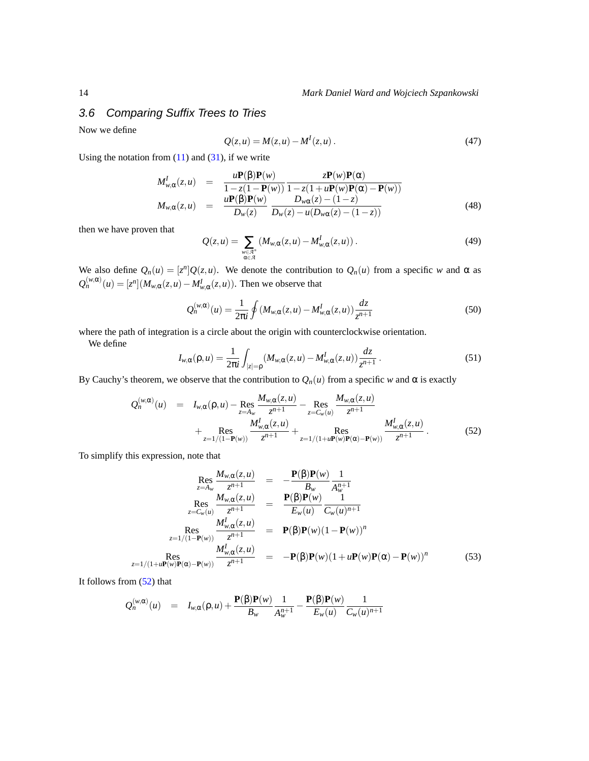### <span id="page-13-0"></span>3.6 Comparing Suffix Trees to Tries

Now we define

$$
Q(z, u) = M(z, u) - MI(z, u).
$$
 (47)

Using the notation from  $(11)$  and  $(31)$ , if we write

$$
M_{w,\alpha}^{I}(z,u) = \frac{u\mathbf{P}(\beta)\mathbf{P}(w)}{1-z(1-\mathbf{P}(w))}\frac{z\mathbf{P}(w)\mathbf{P}(\alpha)}{1-z(1+u\mathbf{P}(w)\mathbf{P}(\alpha)-\mathbf{P}(w))}
$$
  
\n
$$
M_{w,\alpha}(z,u) = \frac{u\mathbf{P}(\beta)\mathbf{P}(w)}{D_{w}(z)}\frac{D_{w\alpha}(z)-(1-z)}{D_{w}(z)-u(D_{w\alpha}(z)-(1-z))}
$$
(48)

then we have proven that

$$
Q(z, u) = \sum_{\substack{w \in \mathcal{A}^* \\ \alpha \in \mathcal{A}}} \left( M_{w, \alpha}(z, u) - M_{w, \alpha}^I(z, u) \right). \tag{49}
$$

We also define  $Q_n(u) = [z^n]Q(z, u)$ . We denote the contribution to  $Q_n(u)$  from a specific *w* and  $\alpha$  as  $Q_n^{(w,\alpha)}(u) = [z^n](M_{w,\alpha}(z,u) - M_{w,\alpha}^I(z,u))$ . Then we observe that

$$
Q_n^{(w,\alpha)}(u) = \frac{1}{2\pi i} \oint (M_{w,\alpha}(z,u) - M_{w,\alpha}^I(z,u)) \frac{dz}{z^{n+1}}
$$
(50)

where the path of integration is a circle about the origin with counterclockwise orientation.

We define

$$
I_{w,\alpha}(\rho, u) = \frac{1}{2\pi i} \int_{|z|=\rho} (M_{w,\alpha}(z, u) - M_{w,\alpha}^I(z, u)) \frac{dz}{z^{n+1}}.
$$
 (51)

By Cauchy's theorem, we observe that the contribution to  $Q_n(u)$  from a specific *w* and  $\alpha$  is exactly

<span id="page-13-1"></span>
$$
Q_n^{(w,\alpha)}(u) = I_{w,\alpha}(\rho,u) - \text{Res}_{z=A_w} \frac{M_{w,\alpha}(z,u)}{z^{n+1}} - \text{Res}_{z=C_w(u)} \frac{M_{w,\alpha}(z,u)}{z^{n+1}} + \text{Res}_{z=1/(1-\mathbf{P}(w))} \frac{M_{w,\alpha}^I(z,u)}{z^{n+1}} + \text{Res}_{z=1/(1+\mathbf{u}\mathbf{P}(w)\mathbf{P}(\alpha)-\mathbf{P}(w))} \frac{M_{w,\alpha}^I(z,u)}{z^{n+1}}.
$$
(52)

To simplify this expression, note that

<span id="page-13-2"></span>
$$
\operatorname{Res}_{z=A_w} \frac{M_{w,\alpha}(z,u)}{z^{n+1}} = -\frac{\mathbf{P}(\beta)\mathbf{P}(w)}{B_w} \frac{1}{A_w^{n+1}}
$$
\n
$$
\operatorname{Res}_{z=C_w(u)} \frac{M_{w,\alpha}(z,u)}{z^{n+1}} = \frac{\mathbf{P}(\beta)\mathbf{P}(w)}{E_w(u)} \frac{1}{C_w(u)^{n+1}}
$$
\n
$$
\operatorname{Res}_{z=1/(1-\mathbf{P}(w))} \frac{M_{w,\alpha}^I(z,u)}{z^{n+1}} = \mathbf{P}(\beta)\mathbf{P}(w)(1-\mathbf{P}(w))^n
$$
\n
$$
\operatorname{Res}_{z=1/(1+u\mathbf{P}(w)\mathbf{P}(\alpha)-\mathbf{P}(w))} \frac{M_{w,\alpha}^I(z,u)}{z^{n+1}} = -\mathbf{P}(\beta)\mathbf{P}(w)(1+u\mathbf{P}(w)\mathbf{P}(\alpha)-\mathbf{P}(w))^n \tag{53}
$$

It follows from [\(52\)](#page-13-1) that

<span id="page-13-3"></span>
$$
Q_n^{(w,\alpha)}(u) = I_{w,\alpha}(\rho,u) + \frac{\mathbf{P}(\beta)\mathbf{P}(w)}{B_w} \frac{1}{A_w^{n+1}} - \frac{\mathbf{P}(\beta)\mathbf{P}(w)}{E_w(u)} \frac{1}{C_w(u)^{n+1}}
$$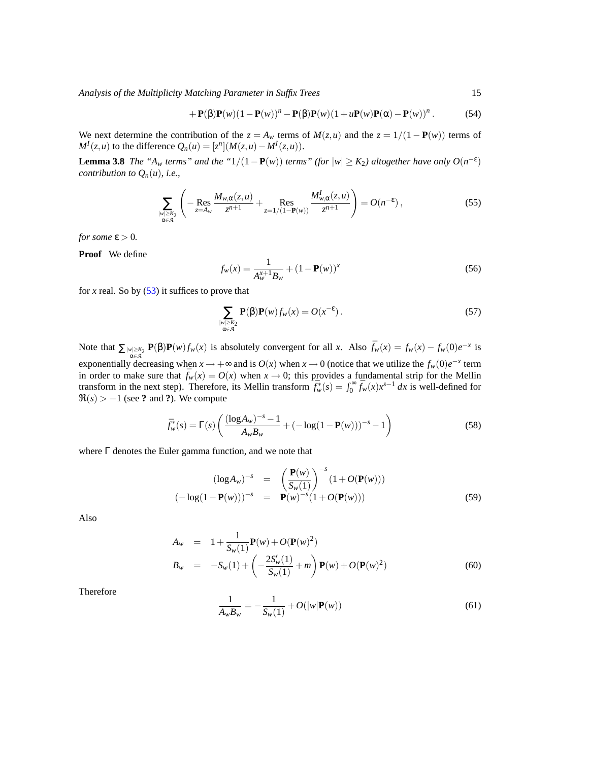*Analysis of the Multiplicity Matching Parameter in Suffix Trees* 15

<span id="page-14-0"></span>
$$
+\mathbf{P}(\boldsymbol{\beta})\mathbf{P}(w)(1-\mathbf{P}(w))^n-\mathbf{P}(\boldsymbol{\beta})\mathbf{P}(w)(1+u\mathbf{P}(w)\mathbf{P}(\boldsymbol{\alpha})-\mathbf{P}(w))^n.
$$
 (54)

We next determine the contribution of the  $z = A_w$  terms of  $M(z, u)$  and the  $z = 1/(1 - P(w))$  terms of *M*<sup>*I*</sup>(*z*,*u*) to the difference  $Q_n(u) = [z^n](M(z, u) - M^I(z, u))$ .

**Lemma 3.8** *The "A<sub>w</sub> terms" and the "*1/(1 – **P**(*w*)) *terms" (for*  $|w| \geq K_2$ ) *altogether have only*  $O(n^{-\epsilon})$ *contribution to*  $Q_n(u)$ *, i.e.,* 

$$
\sum_{\substack{|w|\geq K_2\\ \alpha\in\mathcal{A}}} \left( -\mathop{\mathrm{Res}}\limits_{z=A_w} \frac{M_{w,\alpha}(z,u)}{z^{n+1}} + \mathop{\mathrm{Res}}\limits_{z=1/(1-\mathbf{P}(w))} \frac{M_{w,\alpha}^I(z,u)}{z^{n+1}} \right) = O(n^{-\epsilon}),\tag{55}
$$

*for some*  $\varepsilon > 0$ *.* 

**Proof** We define

$$
f_w(x) = \frac{1}{A_w^{x+1} B_w} + (1 - \mathbf{P}(w))^x
$$
\n(56)

for *x* real. So by  $(53)$  it suffices to prove that

$$
\sum_{\substack{|w| \ge K_2 \\ \alpha \in \mathcal{A}}} \mathbf{P}(\beta) \mathbf{P}(w) f_w(x) = O(x^{-\epsilon}). \tag{57}
$$

Note that  $\sum_{|w| \geq k_2} P(\beta)P(w) f_w(x)$  is absolutely convergent for all x. Also  $\bar{f}_w(x) = f_w(x) - f_w(0)e^{-x}$  is exponentially decreasing when  $x \to +\infty$  and is  $O(x)$  when  $x \to 0$  (notice that we utilize the  $f_w(0)e^{-x}$  term in order to make sure that  $\bar{f}_w(x) = O(x)$  when  $x \to 0$ ; this provides a fundamental strip for the Mellin transform in the next step). Therefore, its Mellin transform  $\bar{f}_{w}^{*}(s) = \int_{0}^{\infty} \bar{f}_{w}(x) x^{s-1} dx$  is well-defined for  $\Re(s) > -1$  (see ? and ?). We compute

$$
\bar{f}_w^*(s) = \Gamma(s) \left( \frac{(\log A_w)^{-s} - 1}{A_w B_w} + (-\log(1 - \mathbf{P}(w)))^{-s} - 1 \right)
$$
\n(58)

where Γ denotes the Euler gamma function, and we note that

$$
(\log A_w)^{-s} = \left(\frac{\mathbf{P}(w)}{S_w(1)}\right)^{-s} (1 + O(\mathbf{P}(w)))
$$
  

$$
(-\log(1 - \mathbf{P}(w)))^{-s} = \mathbf{P}(w)^{-s} (1 + O(\mathbf{P}(w)))
$$
 (59)

Also

$$
A_w = 1 + \frac{1}{S_w(1)} \mathbf{P}(w) + O(\mathbf{P}(w)^2)
$$
  
\n
$$
B_w = -S_w(1) + \left(-\frac{2S_w'(1)}{S_w(1)} + m\right) \mathbf{P}(w) + O(\mathbf{P}(w)^2)
$$
\n(60)

Therefore

$$
\frac{1}{A_w B_w} = -\frac{1}{S_w(1)} + O(|w| \mathbf{P}(w))
$$
\n(61)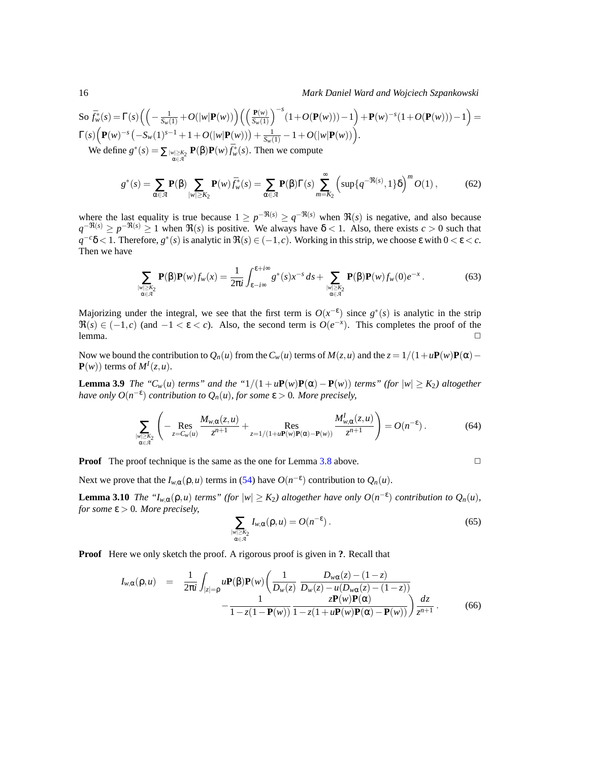So 
$$
\bar{f}_{w}^{*}(s) = \Gamma(s) \left( \left( -\frac{1}{S_{w}(1)} + O(|w| \mathbf{P}(w)) \right) \left( \left( \frac{\mathbf{P}(w)}{S_{w}(1)} \right)^{-s} (1 + O(\mathbf{P}(w))) - 1 \right) + \mathbf{P}(w)^{-s} (1 + O(\mathbf{P}(w))) - 1 \right) =
$$
  
\n
$$
\Gamma(s) \left( \mathbf{P}(w)^{-s} \left( -S_{w}(1)^{s-1} + 1 + O(|w| \mathbf{P}(w)) \right) + \frac{1}{S_{w}(1)} - 1 + O(|w| \mathbf{P}(w)) \right).
$$

We define  $g^*(s) = \sum_{\substack{|w| \geq K_2 \\ \alpha \in \mathcal{A}}} \mathbf{P}(\beta) \mathbf{P}(w) \bar{f}_w^*(s)$ . Then we compute

$$
g^*(s) = \sum_{\alpha \in \mathcal{A}} \mathbf{P}(\beta) \sum_{|w| \ge K_2} \mathbf{P}(w) \bar{f}_w^*(s) = \sum_{\alpha \in \mathcal{A}} \mathbf{P}(\beta) \Gamma(s) \sum_{m=K_2}^{\infty} \left( \sup \{ q^{-\Re(s)} , 1 \} \delta \right)^m O(1) ,\tag{62}
$$

where the last equality is true because  $1 \ge p^{-\Re(s)} \ge q^{-\Re(s)}$  when  $\Re(s)$  is negative, and also because  $q^{-\Re(s)} \ge p^{-\Re(s)} \ge 1$  when  $\Re(s)$  is positive. We always have  $\delta$  < 1. Also, there exists *c* > 0 such that  $q^{-c}\delta$  < 1. Therefore,  $g^*(s)$  is analytic in  $\Re(s) \in (-1, c)$ . Working in this strip, we choose  $\varepsilon$  with  $0 < \varepsilon < c$ . Then we have

$$
\sum_{\substack{|w| \ge K_2 \\ \alpha \in \mathcal{A}}} \mathbf{P}(\beta) \mathbf{P}(w) f_w(x) = \frac{1}{2\pi i} \int_{\varepsilon - i\infty}^{\varepsilon + i\infty} g^*(s) x^{-s} ds + \sum_{\substack{|w| \ge K_2 \\ \alpha \in \mathcal{A}}} \mathbf{P}(\beta) \mathbf{P}(w) f_w(0) e^{-x} . \tag{63}
$$

Majorizing under the integral, we see that the first term is  $O(x^{-\epsilon})$  since  $g^*(s)$  is analytic in the strip  $\Re(s) \in (-1, c)$  (and  $-1 < \varepsilon < c$ ). Also, the second term is  $O(e^{-x})$ . This completes the proof of the lemma.  $\Box$ 

Now we bound the contribution to  $Q_n(u)$  from the  $C_w(u)$  terms of  $M(z, u)$  and the  $z = 1/(1 + uP(w)P(\alpha) P(w)$ ) terms of  $M<sup>I</sup>(z, u)$ .

**Lemma 3.9** *The* " $C_w(u)$  *terms*" and the " $1/(1 + uP(w)P(\alpha) - P(w))$  *terms*" (for  $|w| \ge K_2$ ) altogether *have only*  $O(n^{-\varepsilon})$  *contribution to*  $Q_n(u)$ *, for some*  $\varepsilon > 0$ *. More precisely,* 

$$
\sum_{\substack{|w| \ge K_2 \\ \alpha \in \mathcal{A}}} \left( -\mathop{\text{Res}}\limits_{z = C_w(u)} \frac{M_{w,\alpha}(z,u)}{z^{n+1}} + \mathop{\text{Res}}\limits_{z = 1/(1+u\mathbf{P}(w)\mathbf{P}(\alpha) - \mathbf{P}(w))} \frac{M_{w,\alpha}^I(z,u)}{z^{n+1}} \right) = O(n^{-\epsilon}). \tag{64}
$$

**Proof** The proof technique is the same as the one for Lemma [3.8](#page-14-0) above.

Next we prove that the  $I_{w,\alpha}(\rho, u)$  terms in [\(54\)](#page-13-3) have  $O(n^{-\epsilon})$  contribution to  $Q_n(u)$ .

**Lemma 3.10** *The* " $I_{w,\alpha}(\rho, u)$  *terms*" (for  $|w| \geq K_2$ ) altogether have only  $O(n^{-\epsilon})$  contribution to  $Q_n(u)$ , *for some*  $\varepsilon > 0$ *. More precisely,* 

$$
\sum_{\substack{|w| \ge K_2 \\ \alpha \in \mathcal{A}}} I_{w,\alpha}(\rho, u) = O(n^{-\epsilon}). \tag{65}
$$

**Proof** Here we only sketch the proof. A rigorous proof is given in **?**. Recall that

$$
I_{w,\alpha}(\rho, u) = \frac{1}{2\pi i} \int_{|z|=\rho} u \mathbf{P}(\beta) \mathbf{P}(w) \left( \frac{1}{D_w(z)} \frac{D_{w\alpha}(z) - (1-z)}{D_w(z) - u(D_{w\alpha}(z) - (1-z))} - \frac{1}{1 - z(1 - \mathbf{P}(w))} \frac{z \mathbf{P}(w) \mathbf{P}(\alpha)}{1 - z(1 + u \mathbf{P}(w) \mathbf{P}(\alpha) - \mathbf{P}(w))} \right) \frac{dz}{z^{n+1}}.
$$
(66)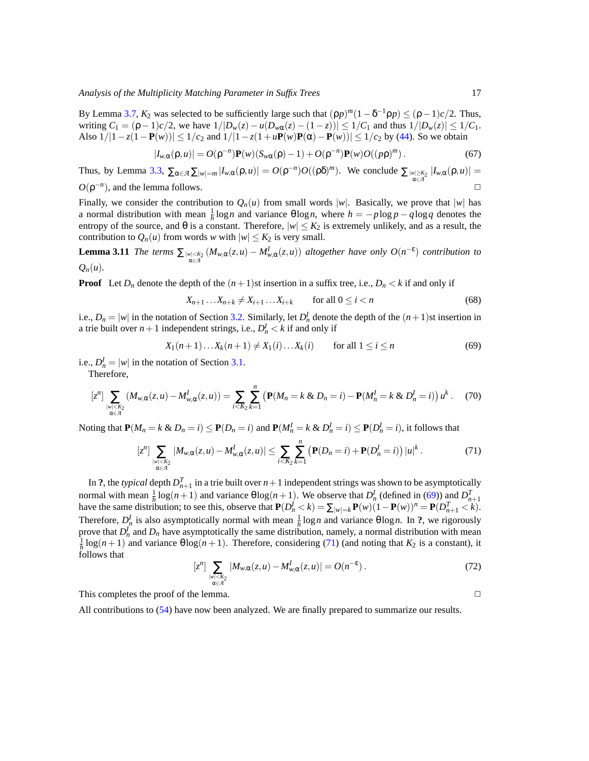By Lemma [3.7,](#page-12-1)  $K_2$  was selected to be sufficiently large such that  $(\rho p)^m (1 - \delta^{-1} \rho p) \leq (\rho - 1)c/2$ . Thus, writing  $C_1 = (\rho - 1)c/2$ , we have  $1/|D_w(z) - u(D_{w\alpha}(z) - (1 - z))| \le 1/C_1$  and thus  $1/|D_w(z)| \le 1/C_1$ . Also  $1/|1 - z(1 - P(w))|$  ≤  $1/c_2$  and  $1/|1 - z(1 + uP(w)P(\alpha) - P(w))|$  ≤  $1/c_2$  by [\(44\)](#page-12-2). So we obtain

$$
|I_{w,\alpha}(\rho,u)| = O(\rho^{-n})\mathbf{P}(w)(S_{w\alpha}(\rho)-1) + O(\rho^{-n})\mathbf{P}(w)O((p\rho)^m). \tag{67}
$$

Thus, by Lemma [3.3,](#page-10-1)  $\sum_{\alpha \in \mathcal{A}} \sum_{|w| = m} |I_{w,\alpha}(\rho, u)| = O(\rho^{-n})O((\rho \delta)^m)$ . We conclude  $\sum_{|w| \ge K_2 \atop \alpha \in \mathcal{A}} |I_{w,\alpha}(\rho, u)| =$  $O(\rho^{-n})$ , and the lemma follows.  $\Box$ 

Finally, we consider the contribution to  $Q_n(u)$  from small words  $|w|$ . Basically, we prove that  $|w|$  has a normal distribution with mean  $\frac{1}{h} \log n$  and variance  $\theta \log n$ , where  $h = -p \log p - q \log q$  denotes the entropy of the source, and  $\theta$  is a constant. Therefore,  $|w| \leq K_2$  is extremely unlikely, and as a result, the contribution to  $Q_n(u)$  from words *w* with  $|w| \leq K_2$  is very small.

**Lemma 3.11** *The terms*  $\sum_{w \in \mathcal{A}} (M_{w,\alpha}(z,u) - M_{w,\alpha}^I(z,u))$  *altogether have only*  $O(n^{-\epsilon})$  *contribution to*  $Q_n(u)$ .

**Proof** Let  $D_n$  denote the depth of the  $(n+1)$ st insertion in a suffix tree, i.e.,  $D_n < k$  if and only if

$$
X_{n+1}\dots X_{n+k} \neq X_{i+1}\dots X_{i+k} \qquad \text{for all } 0 \leq i < n \tag{68}
$$

i.e.,  $D_n = |w|$  in the notation of Section [3.2.](#page-6-2) Similarly, let  $D_n^I$  denote the depth of the  $(n+1)$ st insertion in a trie built over  $n+1$  independent strings, i.e.,  $D_n^I < k$  if and only if

<span id="page-16-0"></span>
$$
X_1(n+1)...X_k(n+1) \neq X_1(i)...X_k(i) \qquad \text{for all } 1 \leq i \leq n
$$
 (69)

i.e.,  $D_n^I = |w|$  in the notation of Section [3.1.](#page-6-1)

Therefore,

$$
[z^{n}] \sum_{\substack{|w| < K_2 \\ \alpha \in \mathcal{A}}} (M_{w,\alpha}(z,u) - M_{w,\alpha}^{I}(z,u)) = \sum_{i < K_2} \sum_{k=1}^{n} \left( \mathbf{P}(M_n = k \& D_n = i) - \mathbf{P}(M_n^{I} = k \& D_n^{I} = i) \right) u^k. \tag{70}
$$

Noting that  $P(M_n = k \& D_n = i) \le P(D_n = i)$  and  $P(M_n^I = k \& D_n^I = i) \le P(D_n^I = i)$ , it follows that

<span id="page-16-1"></span>
$$
[z^{n}] \sum_{\substack{|w| < K_2 \\ \alpha \in \mathcal{A}}} |M_{w,\alpha}(z,u) - M_{w,\alpha}^{I}(z,u)| \leq \sum_{i < K_2} \sum_{k=1}^{n} \left( \mathbf{P}(D_n = i) + \mathbf{P}(D_n^{I} = i) \right) |u|^{k} . \tag{71}
$$

In ?, the *typical* depth  $D_{n+1}^T$  in a trie built over  $n+1$  independent strings was shown to be asymptotically normal with mean  $\frac{1}{h} \log(n+1)$  and variance  $\theta \log(n+1)$ . We observe that  $D_n^I$  (defined in [\(69\)](#page-16-0)) and  $D_{n+1}^T$ have the same distribution; to see this, observe that  $P(D_n^j < k) = \sum_{|w|=k} P(w)(1 - P(w))^n = P(D_{n+1}^T < k)$ . Therefore,  $D_n^I$  is also asymptotically normal with mean  $\frac{1}{h} \log n$  and variance  $\theta \log n$ . In ?, we rigorously prove that  $D_n^I$  and  $D_n$  have asymptotically the same distribution, namely, a normal distribution with mean  $\frac{1}{h}$ log(*n* + 1) and variance  $\theta \log(n+1)$ . Therefore, considering [\(71\)](#page-16-1) (and noting that  $K_2$  is a constant), it follows that

$$
[zn] \sum_{\substack{|w| < K_2 \\ \alpha \in \mathcal{A}}} |M_{w,\alpha}(z,u) - M_{w,\alpha}^I(z,u)| = O(n^{-\epsilon}). \tag{72}
$$

This completes the proof of the lemma.  $\Box$ 

All contributions to [\(54\)](#page-13-3) have now been analyzed. We are finally prepared to summarize our results.